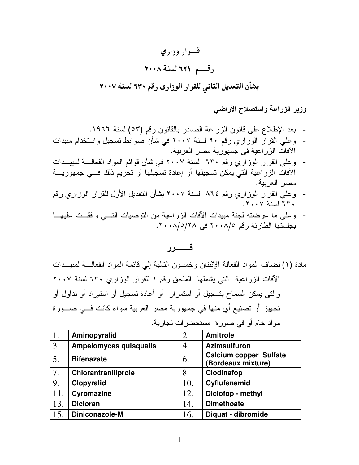## قسوار وزارى رقسم ٦٢١ لسنة ٢٠٠٨ بشأن التعديل الثاني للقرار الوزاري رقم ٦٣٠ لسنة ٢٠٠٧

وزير الزراعة واستصلاح الأراضى

- بعد الإطلاع على قانون الزراعة الصادر بالقانون رقم (٥٣) لسنة ١٩٦٦.
- وعلى القرآر الوزاري رقم ٩٠ لسنة ٢٠٠٧ في شأن ضوابط تسجيل واستخدام مبيدات الأفات الزراعية في جمهورية مصر العربية.
- وعلى القرار الوزاري رقم ٦٣٠ لسنة ٢٠٠٧ في شأن قوائم المواد الفعالـــة لمبيـــدات الأفات الزراعية التي يمكن تسجيلها أو إعادة تسجيلها أو تحريم ذلك فـــي جمهوريـــة مصر العربية.
- وعلي القرار الوزاري رقم ٨٦٤ لسنة ٢٠٠٧ بشأن النعديل الأول للقرار الوزاري رقم ٣٠٠٧ لسنة ٢٠٠٧.
- وعلى ما عرضته لجنة مبيدات الأفات الزراعية من التوصيات التسى وافقــت عليهــا بجلستها الطارئة رقم ٢٠٠٨/٥ في ٢٠٠٨/٥/٢٠٠.

## قـــــــرر

مادة (١) نضاف المواد الفعالة الإثنتان وخمسون التالية إلى قائمة المواد الفعالــــة لمبيـــدات الآفات الزراعية التي يشملها الملحق رقم ١ للقرار الوزاري ٦٣٠ لسنة ٢٠٠٧ و التبي يمكن السماح بتسجيل أو استمرار أو أعادة تسجيل أو استيراد أو نداول أو تجهيز أو تصنيع أي منها في جمهورية مصر العربية سواء كانت فـــى صــــورة مواد خام أو في صورة مستحضرات تجارية.

| 1.  | Aminopyralid                  | 2.  | <b>Amitrole</b>                                     |
|-----|-------------------------------|-----|-----------------------------------------------------|
| 3.  | <b>Ampelomyces quisqualis</b> | 4.  | <b>Azimsulfuron</b>                                 |
| 5.  | <b>Bifenazate</b>             | 6.  | <b>Calcium copper Sulfate</b><br>(Bordeaux mixture) |
| 7.  | Chlorantraniliprole           | 8.  | Clodinafop                                          |
| 9.  | Clopyralid                    | 10. | Cyflufenamid                                        |
| 11. | <b>Cyromazine</b>             | 12. | Diclofop - methyl                                   |
| 13. | <b>Dicloran</b>               | 14. | <b>Dimethoate</b>                                   |
| 15. | Diniconazole-M                | 16. | Diquat - dibromide                                  |